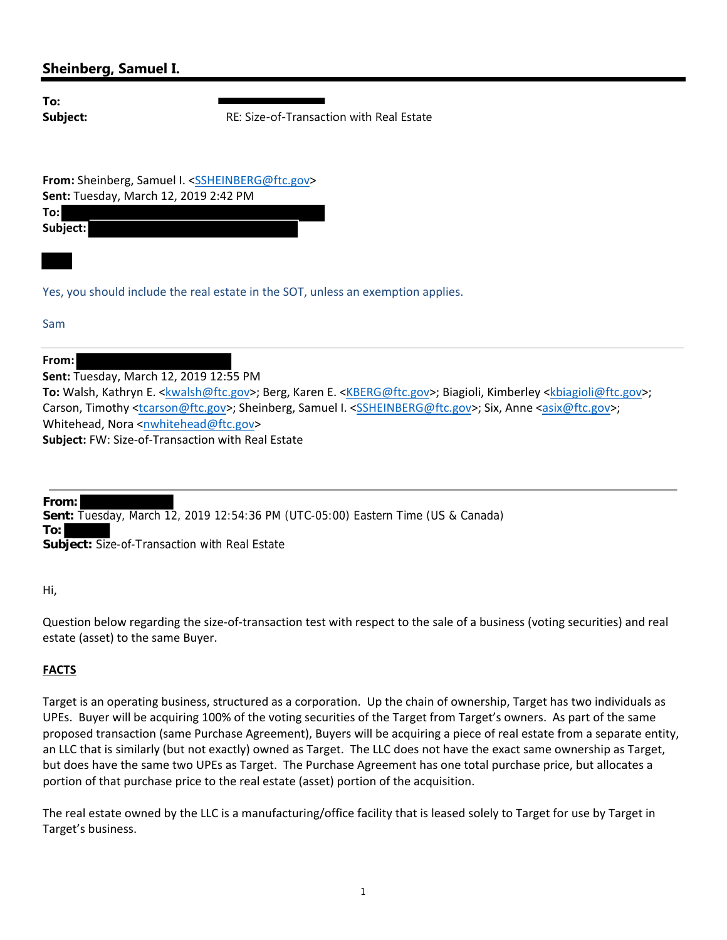## **Sheinberg, Samuel I.**

**To:**

**Subject:** RE: Size-of-Transaction with Real Estate

**From:** Sheinberg, Samuel I. <SSHEINBERG@ftc.gov> **Sent:** Tuesday, March 12, 2019 2:42 PM **To: Subject:**

Yes, you should include the real estate in the SOT, unless an exemption applies.

Sam

**From:**

**Sent:** Tuesday, March 12, 2019 12:55 PM

**To:** Walsh, Kathryn E. <kwalsh@ftc.gov>; Berg, Karen E. <KBERG@ftc.gov>; Biagioli, Kimberley <kbiagioli@ftc.gov>; Carson, Timothy <tcarson@ftc.gov>; Sheinberg, Samuel I. <SSHEINBERG@ftc.gov>; Six, Anne <asix@ftc.gov>; Whitehead, Nora <nwhitehead@ftc.gov> **Subject:** FW: Size‐of‐Transaction with Real Estate

**From: Sent:** Tuesday, March 12, 2019 12:54:36 PM (UTC-05:00) Eastern Time (US & Canada) **To: Subject:** Size-of-Transaction with Real Estate

Hi,

Question below regarding the size‐of‐transaction test with respect to the sale of a business (voting securities) and real estate (asset) to the same Buyer.

## **FACTS**

Target is an operating business, structured as a corporation. Up the chain of ownership, Target has two individuals as UPEs. Buyer will be acquiring 100% of the voting securities of the Target from Target's owners. As part of the same proposed transaction (same Purchase Agreement), Buyers will be acquiring a piece of real estate from a separate entity, an LLC that is similarly (but not exactly) owned as Target. The LLC does not have the exact same ownership as Target, but does have the same two UPEs as Target. The Purchase Agreement has one total purchase price, but allocates a portion of that purchase price to the real estate (asset) portion of the acquisition.

The real estate owned by the LLC is a manufacturing/office facility that is leased solely to Target for use by Target in Target's business.